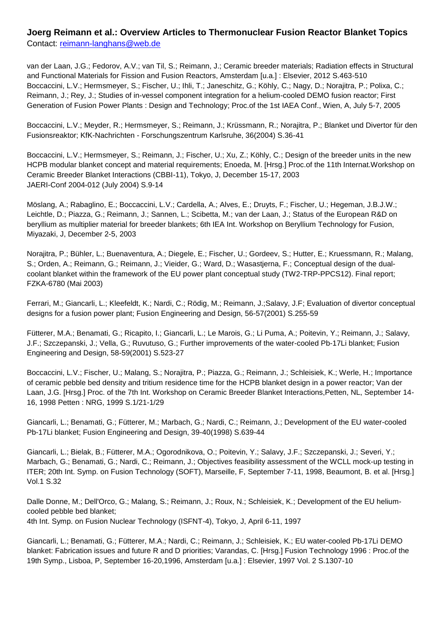## **Joerg Reimann et al.: Overview Articles to Thermonuclear Fusion Reactor Blanket Topics** Contact: [reimann-langhans@web.de](mailto:reimann-langhans@web.de)

van der Laan, J.G.; Fedorov, A.V.; van Til, S.; Reimann, J.; Ceramic breeder materials; Radiation effects in Structural and Functional Materials for Fission and Fusion Reactors, Amsterdam [u.a.] : Elsevier, 2012 S.463-510 Boccaccini, L.V.; Hermsmeyer, S.; Fischer, U.; Ihli, T.; Janeschitz, G.; Köhly, C.; Nagy, D.; Norajitra, P.; Polixa, C.; Reimann, J.; Rey, J.; Studies of in-vessel component integration for a helium-cooled DEMO fusion reactor; First Generation of Fusion Power Plants : Design and Technology; Proc.of the 1st IAEA Conf., Wien, A, July 5-7, 2005

Boccaccini, L.V.; Meyder, R.; Hermsmeyer, S.; Reimann, J.; Krüssmann, R.; Norajitra, P.; Blanket und Divertor für den Fusionsreaktor; KfK-Nachrichten - Forschungszentrum Karlsruhe, 36(2004) S.36-41

Boccaccini, L.V.; Hermsmeyer, S.; Reimann, J.; Fischer, U.; Xu, Z.; Köhly, C.; Design of the breeder units in the new HCPB modular blanket concept and material requirements; Enoeda, M. [Hrsg.] Proc.of the 11th Internat.Workshop on Ceramic Breeder Blanket Interactions (CBBI-11), Tokyo, J, December 15-17, 2003 JAERI-Conf 2004-012 (July 2004) S.9-14

Möslang, A.; Rabaglino, E.; Boccaccini, L.V.; Cardella, A.; Alves, E.; Druyts, F.; Fischer, U.; Hegeman, J.B.J.W.; Leichtle, D.; Piazza, G.; Reimann, J.; Sannen, L.; Scibetta, M.; van der Laan, J.; Status of the European R&D on beryllium as multiplier material for breeder blankets; 6th IEA Int. Workshop on Beryllium Technology for Fusion, Miyazaki, J, December 2-5, 2003

Norajitra, P.; Bühler, L.; Buenaventura, A.; Diegele, E.; Fischer, U.; Gordeev, S.; Hutter, E.; Kruessmann, R.; Malang, S.; Orden, A.; Reimann, G.; Reimann, J.; Vieider, G.; Ward, D.; Wasastjerna, F.; Conceptual design of the dualcoolant blanket within the framework of the EU power plant conceptual study (TW2-TRP-PPCS12). Final report; FZKA-6780 (Mai 2003)

Ferrari, M.; Giancarli, L.; Kleefeldt, K.; Nardi, C.; Rödig, M.; Reimann, J.;Salavy, J.F; Evaluation of divertor conceptual designs for a fusion power plant; Fusion Engineering and Design, 56-57(2001) S.255-59

Fütterer, M.A.; Benamati, G.; Ricapito, I.; Giancarli, L.; Le Marois, G.; Li Puma, A.; Poitevin, Y.; Reimann, J.; Salavy, J.F.; Szczepanski, J.; Vella, G.; Ruvutuso, G.; Further improvements of the water-cooled Pb-17Li blanket; Fusion Engineering and Design, 58-59(2001) S.523-27

Boccaccini, L.V.; Fischer, U.; Malang, S.; Norajitra, P.; Piazza, G.; Reimann, J.; Schleisiek, K.; Werle, H.; Importance of ceramic pebble bed density and tritium residence time for the HCPB blanket design in a power reactor; Van der Laan, J.G. [Hrsg.] Proc. of the 7th Int. Workshop on Ceramic Breeder Blanket Interactions,Petten, NL, September 14- 16, 1998 Petten : NRG, 1999 S.1/21-1/29

Giancarli, L.; Benamati, G.; Fütterer, M.; Marbach, G.; Nardi, C.; Reimann, J.; Development of the EU water-cooled Pb-17Li blanket; Fusion Engineering and Design, 39-40(1998) S.639-44

Giancarli, L.; Bielak, B.; Fütterer, M.A.; Ogorodnikova, O.; Poitevin, Y.; Salavy, J.F.; Szczepanski, J.; Severi, Y.; Marbach, G.; Benamati, G.; Nardi, C.; Reimann, J.; Objectives feasibility assessment of the WCLL mock-up testing in ITER; 20th Int. Symp. on Fusion Technology (SOFT), Marseille, F, September 7-11, 1998, Beaumont, B. et al. [Hrsg.] Vol.1 S.32

Dalle Donne, M.; Dell'Orco, G.; Malang, S.; Reimann, J.; Roux, N.; Schleisiek, K.; Development of the EU heliumcooled pebble bed blanket; 4th Int. Symp. on Fusion Nuclear Technology (ISFNT-4), Tokyo, J, April 6-11, 1997

Giancarli, L.; Benamati, G.; Fütterer, M.A.; Nardi, C.; Reimann, J.; Schleisiek, K.; EU water-cooled Pb-17Li DEMO blanket: Fabrication issues and future R and D priorities; Varandas, C. [Hrsg.] Fusion Technology 1996 : Proc.of the 19th Symp., Lisboa, P, September 16-20,1996, Amsterdam [u.a.] : Elsevier, 1997 Vol. 2 S.1307-10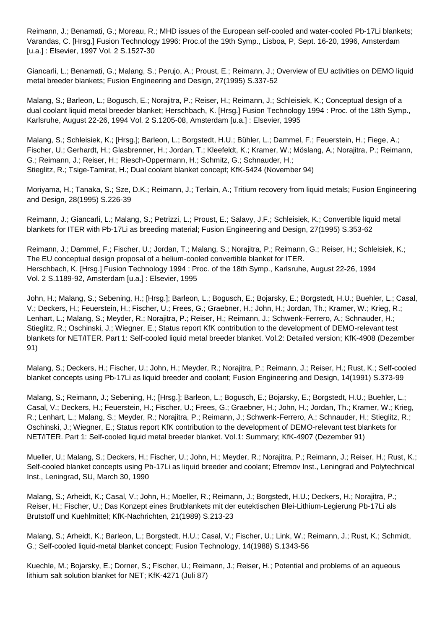Reimann, J.; Benamati, G.; Moreau, R.; MHD issues of the European self-cooled and water-cooled Pb-17Li blankets; Varandas, C. [Hrsg.] Fusion Technology 1996: Proc.of the 19th Symp., Lisboa, P, Sept. 16-20, 1996, Amsterdam [u.a.] : Elsevier, 1997 Vol. 2 S.1527-30

Giancarli, L.; Benamati, G.; Malang, S.; Perujo, A.; Proust, E.; Reimann, J.; Overview of EU activities on DEMO liquid metal breeder blankets; Fusion Engineering and Design, 27(1995) S.337-52

Malang, S.; Barleon, L.; Bogusch, E.; Norajitra, P.; Reiser, H.; Reimann, J.; Schleisiek, K.; Conceptual design of a dual coolant liquid metal breeder blanket; Herschbach, K. [Hrsg.] Fusion Technology 1994 : Proc. of the 18th Symp., Karlsruhe, August 22-26, 1994 Vol. 2 S.1205-08, Amsterdam [u.a.] : Elsevier, 1995

Malang, S.; Schleisiek, K.; [Hrsg.]; Barleon, L.; Borgstedt, H.U.; Bühler, L.; Dammel, F.; Feuerstein, H.; Fiege, A.; Fischer, U.; Gerhardt, H.; Glasbrenner, H.; Jordan, T.; Kleefeldt, K.; Kramer, W.; Möslang, A.; Norajitra, P.; Reimann, G.; Reimann, J.; Reiser, H.; Riesch-Oppermann, H.; Schmitz, G.; Schnauder, H.; Stieglitz, R.; Tsige-Tamirat, H.; Dual coolant blanket concept; KfK-5424 (November 94)

Moriyama, H.; Tanaka, S.; Sze, D.K.; Reimann, J.; Terlain, A.; Tritium recovery from liquid metals; Fusion Engineering and Design, 28(1995) S.226-39

Reimann, J.; Giancarli, L.; Malang, S.; Petrizzi, L.; Proust, E.; Salavy, J.F.; Schleisiek, K.; Convertible liquid metal blankets for ITER with Pb-17Li as breeding material; Fusion Engineering and Design, 27(1995) S.353-62

Reimann, J.; Dammel, F.; Fischer, U.; Jordan, T.; Malang, S.; Norajitra, P.; Reimann, G.; Reiser, H.; Schleisiek, K.; The EU conceptual design proposal of a helium-cooled convertible blanket for ITER. Herschbach, K. [Hrsg.] Fusion Technology 1994 : Proc. of the 18th Symp., Karlsruhe, August 22-26, 1994 Vol. 2 S.1189-92, Amsterdam [u.a.] : Elsevier, 1995

John, H.; Malang, S.; Sebening, H.; [Hrsg.]; Barleon, L.; Bogusch, E.; Bojarsky, E.; Borgstedt, H.U.; Buehler, L.; Casal, V.; Deckers, H.; Feuerstein, H.; Fischer, U.; Frees, G.; Graebner, H.; John, H.; Jordan, Th.; Kramer, W.; Krieg, R.; Lenhart, L.; Malang, S.; Meyder, R.; Norajitra, P.; Reiser, H.; Reimann, J.; Schwenk-Ferrero, A.; Schnauder, H.; Stieglitz, R.; Oschinski, J.; Wiegner, E.; Status report KfK contribution to the development of DEMO-relevant test blankets for NET/ITER. Part 1: Self-cooled liquid metal breeder blanket. Vol.2: Detailed version; KfK-4908 (Dezember 91)

Malang, S.; Deckers, H.; Fischer, U.; John, H.; Meyder, R.; Norajitra, P.; Reimann, J.; Reiser, H.; Rust, K.; Self-cooled blanket concepts using Pb-17Li as liquid breeder and coolant; Fusion Engineering and Design, 14(1991) S.373-99

Malang, S.; Reimann, J.; Sebening, H.; [Hrsg.]; Barleon, L.; Bogusch, E.; Bojarsky, E.; Borgstedt, H.U.; Buehler, L.; Casal, V.; Deckers, H.; Feuerstein, H.; Fischer, U.; Frees, G.; Graebner, H.; John, H.; Jordan, Th.; Kramer, W.; Krieg, R.; Lenhart, L.; Malang, S.; Meyder, R.; Norajitra, P.; Reimann, J.; Schwenk-Ferrero, A.; Schnauder, H.; Stieglitz, R.; Oschinski, J.; Wiegner, E.; Status report KfK contribution to the development of DEMO-relevant test blankets for NET/ITER. Part 1: Self-cooled liquid metal breeder blanket. Vol.1: Summary; KfK-4907 (Dezember 91)

Mueller, U.; Malang, S.; Deckers, H.; Fischer, U.; John, H.; Meyder, R.; Norajitra, P.; Reimann, J.; Reiser, H.; Rust, K.; Self-cooled blanket concepts using Pb-17Li as liquid breeder and coolant; Efremov Inst., Leningrad and Polytechnical Inst., Leningrad, SU, March 30, 1990

Malang, S.; Arheidt, K.; Casal, V.; John, H.; Moeller, R.; Reimann, J.; Borgstedt, H.U.; Deckers, H.; Norajitra, P.; Reiser, H.; Fischer, U.; Das Konzept eines Brutblankets mit der eutektischen Blei-Lithium-Legierung Pb-17Li als Brutstoff und Kuehlmittel; KfK-Nachrichten, 21(1989) S.213-23

Malang, S.; Arheidt, K.; Barleon, L.; Borgstedt, H.U.; Casal, V.; Fischer, U.; Link, W.; Reimann, J.; Rust, K.; Schmidt, G.; Self-cooled liquid-metal blanket concept; Fusion Technology, 14(1988) S.1343-56

Kuechle, M.; Bojarsky, E.; Dorner, S.; Fischer, U.; Reimann, J.; Reiser, H.; Potential and problems of an aqueous lithium salt solution blanket for NET; KfK-4271 (Juli 87)